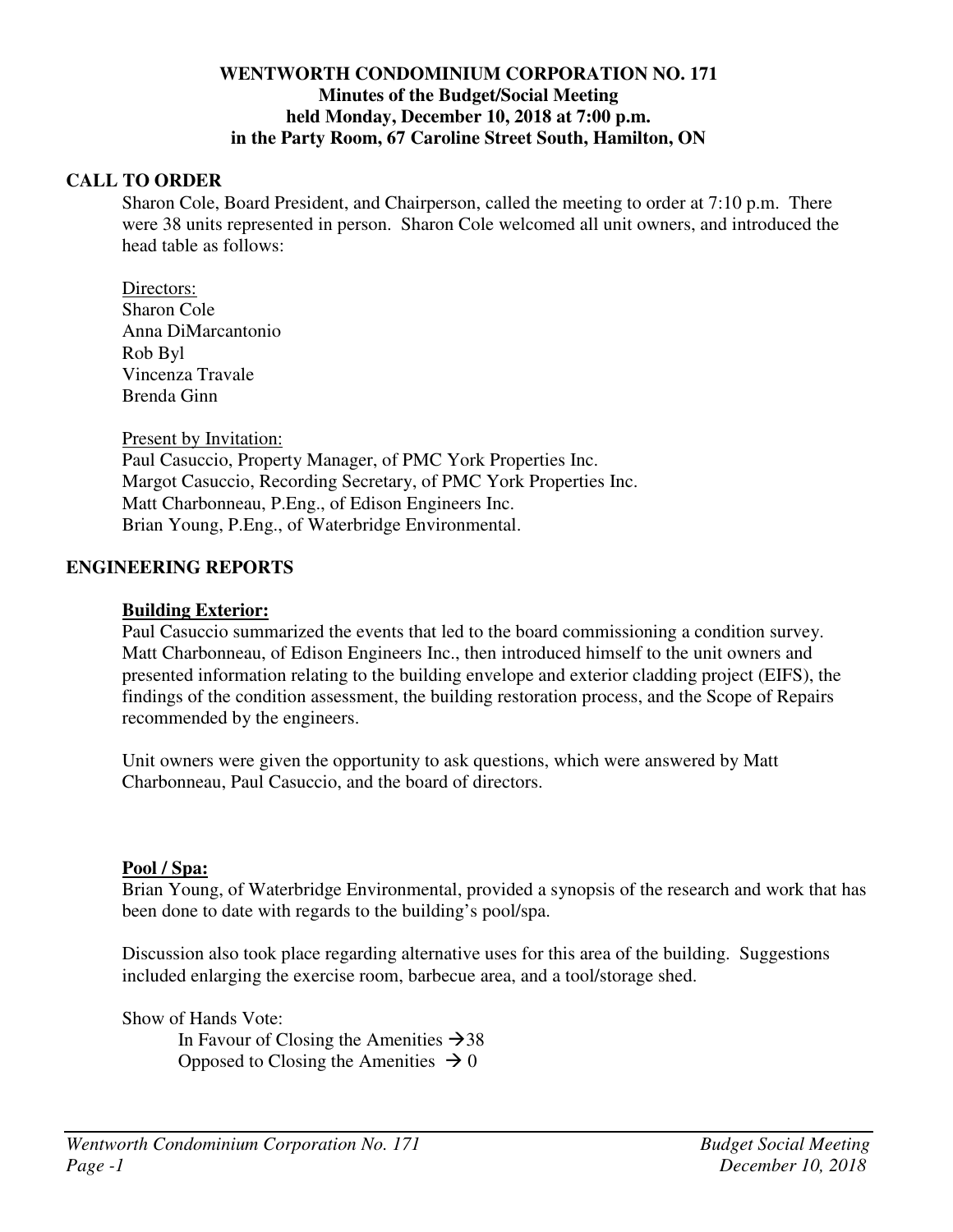## **WENTWORTH CONDOMINIUM CORPORATION NO. 171 Minutes of the Budget/Social Meeting held Monday, December 10, 2018 at 7:00 p.m. in the Party Room, 67 Caroline Street South, Hamilton, ON**

## **CALL TO ORDER**

Sharon Cole, Board President, and Chairperson, called the meeting to order at 7:10 p.m. There were 38 units represented in person. Sharon Cole welcomed all unit owners, and introduced the head table as follows:

Directors: Sharon Cole Anna DiMarcantonio Rob Byl Vincenza Travale Brenda Ginn

Present by Invitation:

Paul Casuccio, Property Manager, of PMC York Properties Inc. Margot Casuccio, Recording Secretary, of PMC York Properties Inc. Matt Charbonneau, P.Eng., of Edison Engineers Inc. Brian Young, P.Eng., of Waterbridge Environmental.

### **ENGINEERING REPORTS**

### **Building Exterior:**

Paul Casuccio summarized the events that led to the board commissioning a condition survey. Matt Charbonneau, of Edison Engineers Inc., then introduced himself to the unit owners and presented information relating to the building envelope and exterior cladding project (EIFS), the findings of the condition assessment, the building restoration process, and the Scope of Repairs recommended by the engineers.

Unit owners were given the opportunity to ask questions, which were answered by Matt Charbonneau, Paul Casuccio, and the board of directors.

#### **Pool / Spa:**

Brian Young, of Waterbridge Environmental, provided a synopsis of the research and work that has been done to date with regards to the building's pool/spa.

Discussion also took place regarding alternative uses for this area of the building. Suggestions included enlarging the exercise room, barbecue area, and a tool/storage shed.

Show of Hands Vote:

In Favour of Closing the Amenities  $\rightarrow$  38 Opposed to Closing the Amenities  $\rightarrow 0$